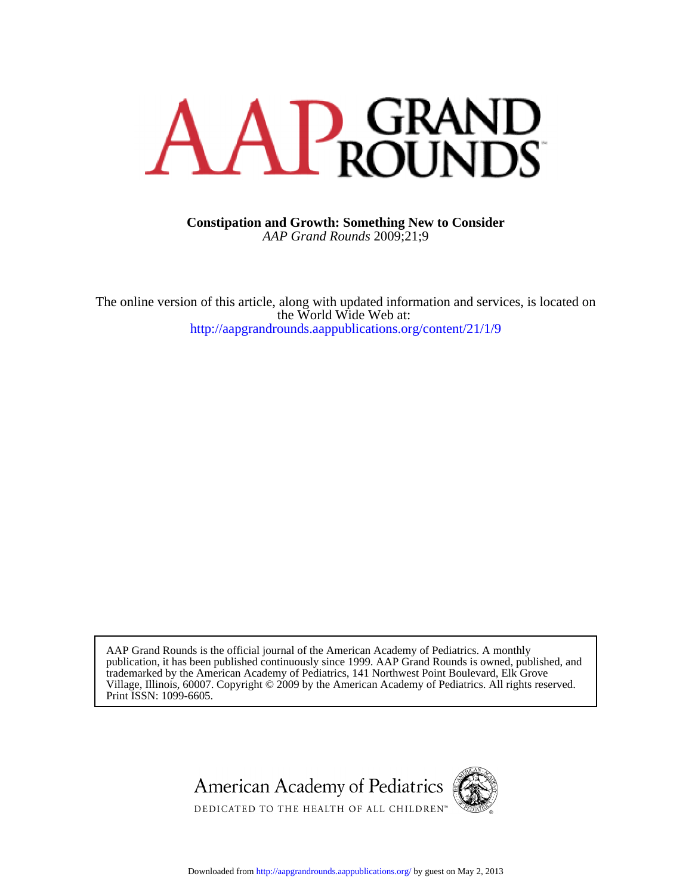

*AAP Grand Rounds* 2009;21;9 **Constipation and Growth: Something New to Consider**

<http://aapgrandrounds.aappublications.org/content/21/1/9> the World Wide Web at: The online version of this article, along with updated information and services, is located on

Print ISSN: 1099-6605. Village, Illinois, 60007. Copyright © 2009 by the American Academy of Pediatrics. All rights reserved. trademarked by the American Academy of Pediatrics, 141 Northwest Point Boulevard, Elk Grove publication, it has been published continuously since 1999. AAP Grand Rounds is owned, published, and AAP Grand Rounds is the official journal of the American Academy of Pediatrics. A monthly



Downloaded from<http://aapgrandrounds.aappublications.org/>by guest on May 2, 2013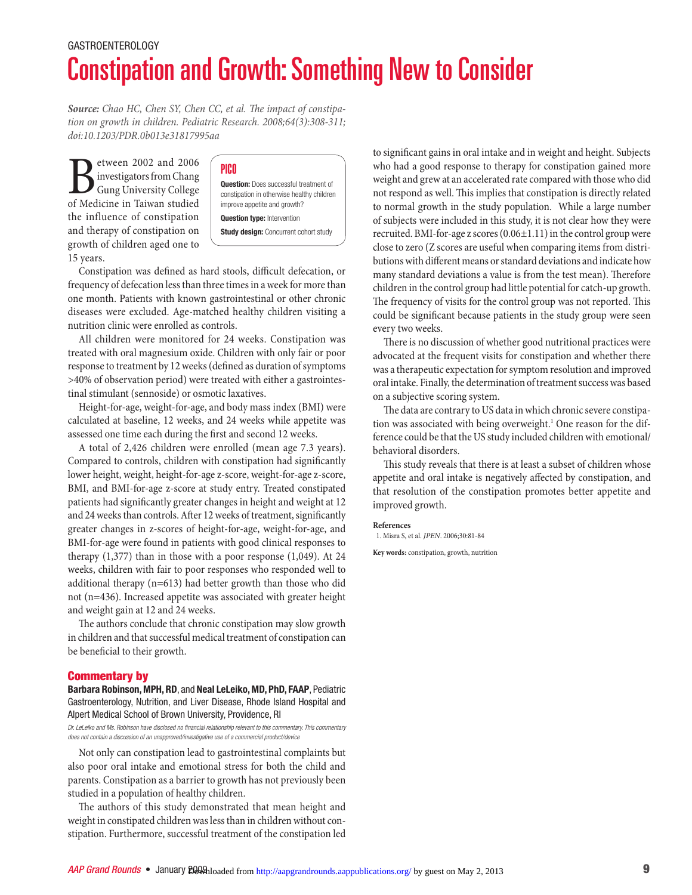## GASTROENTEROLOGY Constipation and Growth: Something New to Consider

*Source: Chao HC, Chen SY, Chen CC, et al. The impact of constipation on growth in children. Pediatric Research. 2008;64(3):308-311; doi:10.1203/PDR.0b013e31817995aa*

Between 2002 and 2006<br>
investigators from Chang<br>
Gung University College<br>
of Medicine in Taiwan studied investigators from Chang Gung University College the influence of constipation and therapy of constipation on growth of children aged one to 15 years.

## PICO

**Question:** Does successful treatment of constipation in otherwise healthy children improve appetite and growth? **Question type: Intervention Study design: Concurrent cohort study** 

Constipation was defined as hard stools, difficult defecation, or frequency of defecation less than three times in a week for more than one month. Patients with known gastrointestinal or other chronic diseases were excluded. Age-matched healthy children visiting a nutrition clinic were enrolled as controls.

All children were monitored for 24 weeks. Constipation was treated with oral magnesium oxide. Children with only fair or poor response to treatment by 12 weeks (defined as duration of symptoms >40% of observation period) were treated with either a gastrointestinal stimulant (sennoside) or osmotic laxatives.

Height-for-age, weight-for-age, and body mass index (BMI) were calculated at baseline, 12 weeks, and 24 weeks while appetite was assessed one time each during the first and second 12 weeks.

A total of 2,426 children were enrolled (mean age 7.3 years). Compared to controls, children with constipation had significantly lower height, weight, height-for-age z-score, weight-for-age z-score, BMI, and BMI-for-age z-score at study entry. Treated constipated patients had significantly greater changes in height and weight at 12 and 24 weeks than controls. After 12 weeks of treatment, significantly greater changes in z-scores of height-for-age, weight-for-age, and BMI-for-age were found in patients with good clinical responses to therapy  $(1,377)$  than in those with a poor response  $(1,049)$ . At 24 weeks, children with fair to poor responses who responded well to additional therapy (n=613) had better growth than those who did not (n=436). Increased appetite was associated with greater height and weight gain at 12 and 24 weeks.

The authors conclude that chronic constipation may slow growth in children and that successful medical treatment of constipation can be beneficial to their growth.

## Commentary by

Barbara Robinson, MPH, RD, and Neal LeLeiko, MD, PhD, FAAP, Pediatric Gastroenterology, Nutrition, and Liver Disease, Rhode Island Hospital and Alpert Medical School of Brown University, Providence, RI

*Dr. LeLeiko and Ms. Robinson have disclosed no financial relationship relevant to this commentary. This commentary does not contain a discussion of an unapproved/investigative use of a commercial product/device*

Not only can constipation lead to gastrointestinal complaints but also poor oral intake and emotional stress for both the child and parents. Constipation as a barrier to growth has not previously been studied in a population of healthy children.

The authors of this study demonstrated that mean height and weight in constipated children was less than in children without constipation. Furthermore, successful treatment of the constipation led to significant gains in oral intake and in weight and height. Subjects who had a good response to therapy for constipation gained more weight and grew at an accelerated rate compared with those who did not respond as well. This implies that constipation is directly related to normal growth in the study population. While a large number of subjects were included in this study, it is not clear how they were recruited. BMI-for-age z scores (0.06±1.11) in the control group were close to zero (Z scores are useful when comparing items from distributions with different means or standard deviations and indicate how many standard deviations a value is from the test mean). Therefore children in the control group had little potential for catch-up growth. The frequency of visits for the control group was not reported. This could be significant because patients in the study group were seen every two weeks.

There is no discussion of whether good nutritional practices were advocated at the frequent visits for constipation and whether there was a therapeutic expectation for symptom resolution and improved oral intake. Finally, the determination of treatment success was based on a subjective scoring system.

The data are contrary to US data in which chronic severe constipation was associated with being overweight.<sup>1</sup> One reason for the difference could be that the US study included children with emotional/ behavioral disorders.

This study reveals that there is at least a subset of children whose appetite and oral intake is negatively affected by constipation, and that resolution of the constipation promotes better appetite and improved growth.

**References**

1. Misra S, et al. *JPEN*. 2006;30:81-84

**Key words:** constipation, growth, nutrition